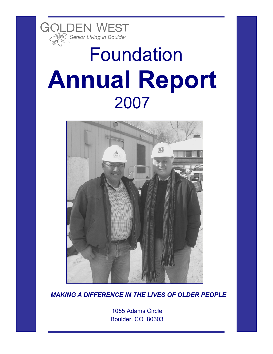

# Foundation **Annual Report**  2007



*MAKING A DIFFERENCE IN THE LIVES OF OLDER PEOPLE* 

1055 Adams Circle Boulder, CO 80303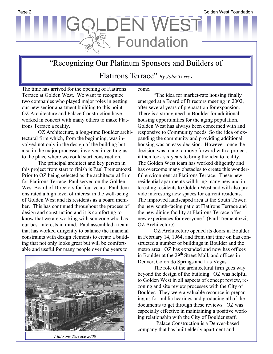## **ILDEN WEST** Foundation

"Recognizing Our Platinum Sponsors and Builders of Flatirons Terrace" *By John Torres* 

The time has arrived for the opening of Flatirons Terrace at Golden West. We want to recognize two companies who played major roles in getting our new senior apartment building to this point. OZ Architecture and Palace Construction have worked in concert with many others to make Flatirons Terrace a reality.

OZ Architecture, a long-time Boulder architectural firm which, from the beginning, was involved not only in the design of the building but also in the major processes involved in getting us to the place where we could start construction.

The principal architect and key person in this project from start to finish is Paul Trementozzi. Prior to OZ being selected as the architectural firm for Flatirons Terrace, Paul served on the Golden West Board of Directors for four years. Paul demonstrated a high level of interest in the well-being of Golden West and its residents as a board member. This has continued throughout the process of design and construction and it is comforting to know that we are working with someone who has our best interests in mind. Paul assembled a team that has worked diligently to balance the financial constraints with design elements to create a building that not only looks great but will be comfortable and useful for many people over the years to



*Flatirons Terrace 2008* 

come.

"The idea for market-rate housing finally emerged at a Board of Directors meeting in 2002, after several years of preparation for expansion. There is a strong need in Boulder for additional housing opportunities for the aging population. Golden West has always been concerned with and responsive to Community needs. So the idea of expanding the community and providing additional housing was an easy decision. However, once the decision was made to move forward with a project, it then took six years to bring the idea to reality. The Golden West team has worked diligently and has overcome many obstacles to create this wonderful environment at Flatirons Terrace. These new residential apartments will bring many new and interesting residents to Golden West and will also provide interesting new spaces for current residents. The improved landscaped area at the South Tower, the new south-facing patio at Flatirons Terrace and the new dining facility at Flatirons Terrace offer new experiences for everyone." (Paul Trementozzi, OZ Architecture).

OZ Architecture opened its doors in Boulder in February 14, 1964, and from that time on has constructed a number of buildings in Boulder and the metro area. OZ has expanded and now has offices in Boulder at the 29<sup>th</sup> Street Mall, and offices in Denver, Colorado Springs and Las Vegas.

The role of the architectural firm goes way beyond the design of the building. OZ was helpful to Golden West in all aspects of concept review, rezoning and site review processes with the City of Boulder. They were a valuable resource in preparing us for public hearings and producing all of the documents to get through these reviews. OZ was especially effective in maintaining a positive working relationship with the City of Boulder staff.

 Palace Construction is a Denver-based company that has built elderly apartment and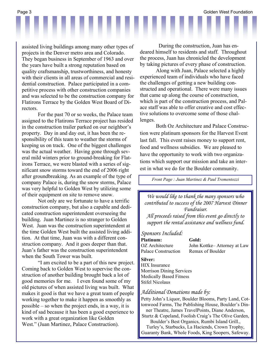assisted living buildings among many other types of projects in the Denver metro area and Colorado. They began business in September of 1963 and over the years have built a strong reputation based on quality craftsmanship, trustworthiness, and honesty with their clients in all areas of commercial and residential construction. Palace participated in a competitive process with other construction companies and was selected to be the construction company for Flatirons Terrace by the Golden West Board of Dithe their wonderful happy hours. The person of the person of the person of the person of the person of the person of the person of the person of the person of the person of the person of the person of the person of the per

For the past 70 or so weeks, the Palace team assigned to the Flatirons Terrace project has resided in the construction trailer parked on our neighbor's property. Day in and day out, it has been the responsibility of this team to weather the storms of keeping us on track. One of the biggest challenges was the actual weather. Having gone through several mild winters prior to ground-breaking for Flatirons Terrace, we were blasted with a series of significant snow storms toward the end of 2006 right nificant snow storms toward the end of 2006 right after groundbreaking. As an example of the type of company Palace is, during the snow storms, Palace was very helpful to Golden West by utilizing some of their equipment on site to remove snow.

Not only are we fortunate to have a terrific  $\blacksquare$ construction company, but also a capable and dedicated construction superintendent overseeing the building. Juan Martinez is no stranger to Golden West. Juan was the construction superintendent at the time Golden West built the assisted living addition. At that time, Juan was with a different construction company. And it goes deeper than that. Juan's father was the construction superintendent when the South Tower was built.

"I am excited to be a part of this new project. Coming back to Golden West to supervise the construction of another building brought back a lot of good memories for me. I even found some of my old pictures of when assisted living was built. What makes it good is that we have a great team of people working together to make it happen as smoothly as possible – so when the project ends, in a way, it is kind of sad because it has been a good experience to work with a great organization like Golden West." (Juan Martinez, Palace Construction).

 During the construction, Juan has endeared himself to residents and staff. Throughout the process, Juan has chronicled the development by taking pictures of every phase of construction.

Along with Juan, Palace selected a highly experienced team of individuals who have faced the challenges of getting a new building constructed and operational. There were many issues that came up along the course of construction, which is part of the construction process, and Palace staff was able to offer creative and cost effective solutions to overcome some of those challenges.

Both Oz Architecture and Palace Construction were platinum sponsors for the Harvest Event last fall. This event raises money to support rent, food and wellness subsidies. We are pleased to have the opportunity to work with two organizations which support our mission and take an interest in what we do for the Boulder community.

*Front Page : Juan Martinez & Paul Trementozzi* 

*We would like to thank the many sponsors who contributed to success of the 2007 Harvest Dinner Fundraiser. All proceeds raised from this event go directly to support the rental assistance and wellness fund. Sponsors Included:*  **Platinum: Gold:** 

Palace Construction Remax of Boulder

OZ Architecture John Kottke– Attorney at Law

#### **Silver:**

HIX Insurance Morrison Dining Services Medically Based Fitness Stifel Nicolaus

#### *Additional Donations made by:*

Petty John's Liquor, Boulder Blooms, Party Land, Cottonwood Farms, The Publishing House, Boulder's Dinner Theatre, James TravelPoints, Diane Anderson, Sturtz & Copeland, Foolish Craig's The Olive Garden, Boulder's Best Organics, Rumbi Island Grill., Turley's, Starbucks, La Haciends, Crown Trophy, Guaranty Bank, Whole Foods, King Soopers, Safeway.

Page 3 Golden West Foundation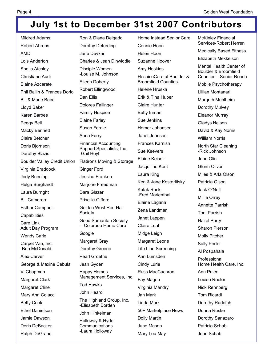## **July 1st to December 31st 2007 Contributors**

| <b>Mildred Adams</b>               | Ron & Diana Delgado                             | Home Instead Senior Care   | <b>McKinley Financial</b><br>Services-Robert Herren |
|------------------------------------|-------------------------------------------------|----------------------------|-----------------------------------------------------|
| <b>Robert Ahrens</b>               | Dorothy Deterding                               | Connie Hoon                | <b>Medically Based Fitness</b>                      |
| AMD                                | Jane Devkar                                     | Helen Hoon                 | Elizabeth Mekkelson                                 |
| Lois Anderton                      | Charles & Jean Dinwiddie                        | Suzanne Hoover             |                                                     |
| Sheila Atchley                     | Disciple Women                                  | Amy Hoskins                | Mental Health Center of<br>Boulder & Broomfield     |
| Christiane Audi                    | -Louise M. Johnson                              | HospiceCare of Boulder &   | Counties-Senior Reach                               |
| Elaine Azcarate                    | <b>Eileen Doherty</b>                           | <b>Broomfield Counties</b> | Mobile Psychotherapy                                |
| Phil Bailin & Frances Dorio        | Robert Ellingwood                               | Helene Hruska              | Lillian Montanari                                   |
| <b>Bill &amp; Marie Baird</b>      | Dan Ellis                                       | Erik & Tina Huber          | Margrith Muhlheim                                   |
| Lloyd Baker                        | Dolores Failinger                               | <b>Claire Hunter</b>       | Dorothy Mulvey                                      |
| Karen Barbee                       | <b>Family Hospice</b>                           | <b>Betty Inman</b>         | <b>Eleanor Murray</b>                               |
| Peggy Bell                         | <b>Elaine Farley</b>                            | Sue Jenkins                | <b>Gladys Nelson</b>                                |
| Macky Bennett                      | Susan Fernie                                    | Homer Johansen             | David & Kay Norris                                  |
| <b>Claire Betcher</b>              | Anna Ferry                                      | Janet Johnson              | <b>William Norris</b>                               |
| Doris Bjornson                     | <b>Financial Accounting</b>                     | <b>Frances Karnish</b>     | North Star Cleaning                                 |
| Dorothy Blazis                     | Support Specialists, Inc.<br>-Gail Hoyt         | <b>Sue Keevers</b>         | -Rick Johnson                                       |
| <b>Boulder Valley Credit Union</b> | Flatirons Moving & Storage                      | <b>Elaine Keiser</b>       | Jane Olin                                           |
| Virginia Braddock                  | <b>Ginger Ford</b>                              | Jacquiline Kent            | Glenn Oliver                                        |
| Jody Buening                       | Jessica Franken                                 | Laura King                 | Miles & Arla Olson                                  |
| Helga Burghardt                    | Marjorie Freedman                               | Ken & Jane Kosterlitsky    | Patricia Olson                                      |
| Laura Burright                     | Dara Glazer                                     | <b>Kutak Rock</b>          | Jack O'Neill                                        |
| <b>Bill Cameron</b>                | Priscilla Gifford                               | -Fred Marienthal           | Millie Orrey                                        |
| <b>Esther Campbell</b>             | Golden West Red Hat                             | Elaine Lagana              | Annette Parrish                                     |
| Capabilities                       | Society                                         | Zena Landman               | <b>Toni Parrish</b>                                 |
| Care Link                          | <b>Good Samaritan Society</b>                   | Janet Lappen               | <b>Hazel Perry</b>                                  |
| Adult Day Program                  | -Colorado Home Care                             | <b>Claire Leaf</b>         | <b>Sharon Pierson</b>                               |
| <b>Wendy Carle</b>                 | Google                                          | Midge Leigh                | <b>Molly Pitcher</b>                                |
| Carpet Van, Inc.                   | Margaret Gray                                   | Margaret Leone             | Sally Porter                                        |
| -Bob McDonald                      | Dorothy Greeno                                  | Life Line Screening        | Al Pospahala                                        |
| Alex Carver                        | Pearl Groethe                                   | Ann Lumsden                | Professional                                        |
| George & Maxine Cebula             | Jean Gyder                                      | Cindy Lurie                | Home Health Care, Inc.                              |
| Vi Chapman                         | <b>Happy Homes</b><br>Management Services, Inc. | Russ MacCachran            | Ann Puleo                                           |
| Margaret Clark                     | <b>Tod Hawks</b>                                | Fay Magee                  | Louise Rector                                       |
| <b>Margaret Cline</b>              |                                                 | Virginia Mandry            | Nick Rehnberg                                       |
| Mary Ann Colacci                   | John Heard                                      | Jan Mark                   | Tom Ricardi                                         |
| <b>Betty Cook</b>                  | The Highland Group, Inc.<br>-Elisabeth Borden   | Linda Mark                 | Dorothy Rudolph                                     |
| <b>Ethel Danielson</b>             | John Hinkelman                                  | 50+ Marketplace News       | Donna Ruske                                         |
| Jamie Dawson                       | Holloway & Hyde                                 | Dolly Martin               | Dorothy Sanazaro                                    |
| Doris DeBacker                     | Communications                                  | June Mason                 | Patricia Schab                                      |
| Ralph DeGrand                      | -Laura Holloway                                 | Mary Lou May               | Jean Schab                                          |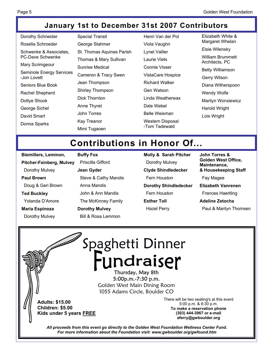### **January 1st to December 31st 2007 Contributors**

Dorothy Schneider Rosella Schroeder Schwenke & Associates, PC-Dave Schwenke Mary Scrimgeour Seminole Energy Services -Jon Lovett Seniors Blue Book Rachel Shepherd Dottye Shook George Sichel David Smart Donna Sparks

Special Transit George Stahmer St. Thomas Aquinas Parish Thomas & Mary Sullivan Sunrise Medical Cameron & Tracy Swen Jean Thompson Shirley Thompson Dick Thornton Anne Thyret John Torres Kay Treanor Mimi Tugaoen

Henri Van der Pol Viola Vaughn Lynel Vallier Laurie Viets Connie Visser VistaCare Hospice Richard Walker Gen Watson Linda Weatherwax Dale Webel Belle Weisman Western Disposal -Tom Tadewald

Elizabeth White & Margaret Whelan Elsie Wilensky William Brummett Architects, PC Betty Williamson Gerry Wilson Diana Witherspoon Wendy Wolfe Marilyn Wonsiewicz Harold Wright Lois Wright

## **Contributions in Honor Of...**

**Biemillers, Lemmon, Pitcher-Feinberg, Mulvey** Dorothy Mulvey **Paul Brown**  Doug & Geri Brown **Ted Buckley**  Yolanda D'Amore **Maria Espinoza** 

Dorothy Mulvey

**Buffy Fox**  Priscilla Gifford **Jean Gyder**  Steve & Cathy Mandis Anna Mandis John & Ann Mandis The McKinney Family **Dorothy Mulvey** 

Bill & Rosa Lemmon

**Molly & Sarah Pitcher**  Dorothy Mulvey **Clyde Shindledecker**  Fern Houston **Dorothy Shindledecker**  Fern Houston **Esther Toll**  Hazel Perry

**John Torres & Golden West Office, Maintenance, & Housekeeping Staff**  Fay Magee **Elizabeth Vanrenen**  Frances Haertling **Adeline Zetocha**  Paul & Marilyn Thomsen

**ALLEN AND INCOME.** Spaghetti Dinner Fundraiser 5:00p.m.-7:30 p.m. Golden West Main Dining Room 1055 Adams Circle, Boulder CO There will be two seating's at this event **Adults: \$15.00**  5:00 p.m. & 6:30 p.m. **Children: \$5.00 To make a reservation phone Kids under 5 years FREE (303) 444-3967 or e-mail aferry@gwboulder.org**  *All proceeds from this event go directly to the Golden West Foundation Wellness Center Fund. For more information about the Foundation visit: www.gwboulder.org/gwfound.htm*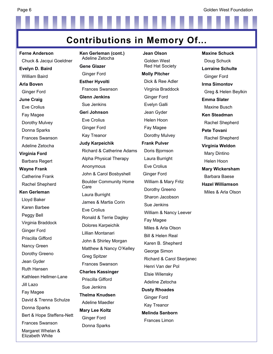**Contributions in Memory Of...** 

**Ferne Anderson** Chuck & Jacqui Goeldner **Evelyn D. Baird** William Baird **Arla Boven** Ginger Ford **June Craig** Eve Crolius Fay Magee Dorothy Mulvey Donna Sparks Frances Swanson Adeline Zetocha **Virginia Ford** Barbara Regert **Wayne Frank** Catherine Frank Rachel Shepherd **Ken Gerleman** Lloyd Baker Karen Barbee Peggy Bell Virginia Braddock Ginger Ford Priscilla Gifford Nancy Green Dorothy Greeno Jean Gyder Ruth Hansen Kathleen Hellmer-Lane Jill Lazo Fay Magee David & Trenna Schulze Donna Sparks Bert & Hope Steffens-Nett Frances Swanson Margaret Whelan & Elizabeth White

**Ken Gerleman (cont.)**  Adeline Zetocha **Gene Glazer** Ginger Ford **Esther Hyvolti** Frances Swanson **Glenn Jenkins** Sue Jenkins **Geri Johnson** Eve Crolius Ginger Ford Kay Treanor **Judy Karpeichik** Richard & Catherine Adams Alpha Physical Therapy Anonymous John & Carol Bosbyshell Boulder Community Home Care Laura Burright James & Martia Corin Eve Crolius Ronald & Terrie Dagley Dolores Karpeichik Lillian Montanari John & Shirley Morgan Matthew & Nancy O'Kelley Greg Spitzer Frances Swanson **Charles Kassinger** Priscilla Gifford Sue Jenkins **Thelma Knudsen** Adeline Maedler **Mary Lee Koltz** Ginger Ford Donna Sparks

**Jean Olson** Golden West Red Hat Society **Molly Pitcher** Dick & Ree Adler Virginia Braddock Ginger Ford Evelyn Galli Jean Gyder Helen Hoon Fay Magee Dorothy Mulvey **Frank Pulver** Doris Bjornson Laura Burright Eve Crolius Ginger Ford William & Mary Fritz Dorothy Greeno Sharon Jacobson Sue Jenkins William & Nancy Leever Fay Magee Miles & Arla Olson Bill & Helen Real Karen B. Shepherd George Simon Richard & Carol Skerjanec Henri Van der Pol Elsie Wilensky Adeline Zetocha **Dusty Rhoades** Ginger Ford Kay Treanor **Melinda Sanborn** Frances Limon

**Maxine Schuck** Doug Schuck **Lorraine Schulte** Ginger Ford **Irma Simontov** Greg & Helen Beylkin **Emma Slater** Maxine Busch **Ken Steadman** Rachel Shepherd **Pete Tovani** Rachel Shepherd **Virginia Weldon**  Mary Dintino Helen Hoon **Mary Wickersham** Barbara Baese **Hazel Williamson** Miles & Arla Olson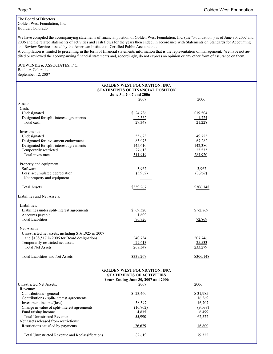The Board of Directors Golden West Foundation, Inc. Boulder, Colorado

We have compiled the accompanying statements of financial position of Golden West Foundation, Inc. (the "Foundation") as of June 30, 2007 and 2006 and the related statements of activities and cash flows for the years then ended, in accordance with Statements on Standards for Accounting and Review Services issued by the American Institute of Certified Public Accountants.

A compilation is limited to presenting in the form of financial statements information that is the representation of management. We have not audited or reviewed the accompanying financial statements and, accordingly, do not express an opinion or any other form of assurance on them.

#### SCHWENKE & ASSOCIATES, P.C. Boulder, Colorado September 12, 2007

**GOLDEN WEST FOUNDATION, INC. STATEMENTS OF FINANCIAL POSITION June 30, 2007 and 2006**  <u>2007</u> 2006 Assets: Cash: Undesignated \$ 24,786 \$19,504<br>Designated for split-interest agreements  $\begin{array}{r} \text{S} & 24,786 \\ \text{Designated} & 2,562 \end{array}$  \$1,724 Designated for split-interest agreements 2,562 1,724 Total cash 27,348 21,228 Investments: Undesignated 55,623 49,725 Designated for investment endowment 83,073 67,282 Designated for split-interest agreements 145,610 142,380<br>
Temporarily restricted 25.533<br>
25.533 Temporarily restricted 27,613 Total investments 284,920 284,920 Property and equipment: Software 3,962 3,962 3,962 Less: accumulated depreciation (3,962) (3,962) (3,962) Net property and equipment Total Assets \$339,267 \$306,148 Liabilities and Net Assets: Liabilities: Liabilities under split-interest agreements  $$ 69,320$   $$ 72,869$ Accounts payable 1,600 Total Liabilities 70,920 72,869 Net Assets: Unrestricted net assets, including \$161,925 in 2007 and \$138,517 in 2006 for Board designations 240,734 207,746 Temporarily restricted net assets 25,533 25,533 Total Net Assets 268,347 233,279 Total Liabilities and Net Assets \$339,267 \$339,267 \$306,148

#### **GOLDEN WEST FOUNDATION, INC. STATEMENTS OF ACTIVITIES Years Ending June 30, 2007 and 2006**

| <b>Unrestricted Net Assets:</b>                  | 2007     | 2006     |
|--------------------------------------------------|----------|----------|
| Revenue:                                         |          |          |
| Contributions - general                          | \$23,460 | \$31,985 |
| Contributions - split-interest agreements        |          | 16,369   |
| Investment income/(loss)                         | 38,397   | 16,707   |
| Change in value of split-interest agreements     | (10,702) | (9,038)  |
| Fund raising income                              | 4,835    | 6,499    |
| <b>Total Unrestricted Revenue</b>                | 55,990   | 62,522   |
| Net assets released from restrictions:           |          |          |
| Restrictions satisfied by payments               | 26,629   | 16,800   |
| Total Unrestricted Revenue and Reclassifications | 82,619   | 79,322   |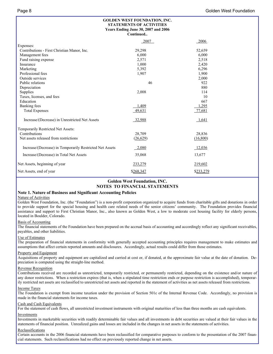|                                                          | <b>GOLDEN WEST FOUNDATION, INC.</b><br><b>STATEMENTS OF ACTIVITIES</b><br>Years Ending June 30, 2007 and 2006<br>Continued |           |
|----------------------------------------------------------|----------------------------------------------------------------------------------------------------------------------------|-----------|
|                                                          | 2007                                                                                                                       | 2006      |
| Expenses:                                                |                                                                                                                            |           |
| Contributions - First Christian Manor, Inc.              | 29,298                                                                                                                     | 52,659    |
| Management fees                                          | 6,000                                                                                                                      | 6,000     |
| Fund raising expense                                     | 2,571                                                                                                                      | 2,518     |
| Insurance                                                | 1,000                                                                                                                      | 2,420     |
| Marketing                                                | 5,392                                                                                                                      | 6,296     |
| Professional fees                                        | 1,907                                                                                                                      | 1,900     |
| Outside services                                         |                                                                                                                            | 2,000     |
| Public relations                                         | 46                                                                                                                         | 922       |
| Depreciation                                             |                                                                                                                            | 880       |
| Supplies                                                 | 2,008                                                                                                                      | 114       |
| Taxes, licenses, and fees                                |                                                                                                                            | 10        |
| Education                                                |                                                                                                                            | 667       |
| Banking fees                                             | 1,409                                                                                                                      | 1,295     |
| <b>Total Expenses</b>                                    | 49,631                                                                                                                     | 77,681    |
| Increase/(Decrease) in Unrestricted Net Assets           | 32,988                                                                                                                     | 1,641     |
| Temporarily Restricted Net Assets:                       |                                                                                                                            |           |
| Contributions                                            | 28,709                                                                                                                     | 28,836    |
| Net assets released from restrictions                    | (26,629)                                                                                                                   | (16,800)  |
| Increase/(Decrease) in Temporarily Restricted Net Assets | 2,080                                                                                                                      | 12,036    |
| Increase/(Decrease) in Total Net Assets                  | 35,068                                                                                                                     | 13,677    |
| Net Assets, beginning of year                            | 233,279                                                                                                                    | 219,602   |
| Net Assets, end of year                                  | \$268,347                                                                                                                  | \$233,279 |

#### **Golden West Foundation, INC. NOTES TO FINANCIAL STATEMENTS**

#### **Note 1. Nature of Business and Significant Accounting Policies**

#### Nature of Activities

Golden West Foundation, Inc. (the "Foundation") is a non-profit corporation organized to acquire funds from charitable gifts and donations in order to provide support for the special housing and health care related needs of the senior citizens' community. The Foundation provides financial assistance and support to First Christian Manor, Inc., also known as Golden West, a low to moderate cost housing facility for elderly persons, located in Boulder, Colorado.

#### Basis of Accounting

The financial statements of the Foundation have been prepared on the accrual basis of accounting and accordingly reflect any significant receivables, payables, and other liabilities.

#### Use of Estimates

The preparation of financial statements in conformity with generally accepted accounting principles requires management to make estimates and assumptions that affect certain reported amounts and disclosures. Accordingly, actual results could differ from those estimates.

#### Property and Equipment

Acquisitions of property and equipment are capitalized and carried at cost or, if donated, at the approximate fair value at the date of donation. Depreciation is computed using the straight-line method.

#### Revenue Recognition

Contributions received are recorded as unrestricted, temporarily restricted, or permanently restricted, depending on the existence and/or nature of any donor restrictions. When a restriction expires (that is, when a stipulated time restriction ends or purpose restriction is accomplished), temporarily restricted net assets are reclassified to unrestricted net assets and reported in the statement of activities as net assets released from restrictions.

#### Income Taxes

The Foundation is exempt from income taxation under the provision of Section 501c of the Internal Revenue Code. Accordingly, no provision is made in the financial statements for income taxes.

#### Cash and Cash Equivalents

For the statement of cash flows, all unrestricted investment instruments with original maturities of less than three months are cash equivalents.

#### Investments

Investments in marketable securities with readily determinable fair values and all investments in debt securities are valued at their fair values in the statements of financial position. Unrealized gains and losses are included in the changes in net assets in the statements of activities.

#### Reclassifications

Certain accounts in the 2006 financial statements have been reclassified for comparative purposes to conform to the presentation of the 2007 financial statements. Such reclassifications had no effect on previously reported change in net assets.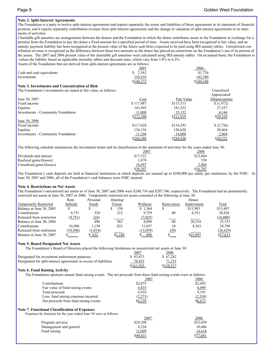#### **Note 2. Split-Interest Agreements**

The Foundation is a party to twelve split-interest agreements and reports separately the assets and liabilities of those agreements in its statement of financial position, and it reports separately contribution revenue from split-interest agreements and the change in valuation of split-interest agreements in its statements of activities.

Charitable gift annuities are arrangements between the donors and the Foundation in which the donor contributes assets to the Foundation in exchange for a promise from the Foundation to pay the donor a fixed amount for a specified period of time. Assets received have been recognized at fair value, and an annuity payment liability has been recognized at the present value of the future cash flows expected to be paid using IRS annuity tables. Unrestricted contribution revenue is recognized as the difference between these two amounts as the donor has placed no restrictions on the Foundation's use of its portion of the assets. The 2007 and 2006 present value of the charitable gift annuities were calculated using IRS annuity tables. On an annual basis, the Foundation re -values the liability based on applicable mortality tables and discount rates, which vary from 3.8% to 6.2%. Assets of the Foundation that are derived from split-interest agreements are as follows:

|                                                                    | 2007        | 2006       |                |
|--------------------------------------------------------------------|-------------|------------|----------------|
| Cash and cash equivalents                                          | 2,562<br>\$ |            | \$1,724        |
| Investments                                                        | 145,610     |            | 142,380        |
|                                                                    | \$148,172   | \$144,104  |                |
| Note 3. Investments and Concentration of Risk                      |             |            |                |
| The Foundation's investments are stated at fair value, as follows: |             |            | Unrealized     |
|                                                                    |             |            | Appreciated/   |
| June 30, 2007                                                      | Cost        | Fair Value | (Depreciation) |
| Fixed income                                                       | \$117.487   | \$115,515  | \$(1,972)      |
| Equities                                                           | 143,895     | 181,252    | 37,357         |
| <b>Investments - Community Foundation</b>                          | 11,008      | 15,152     | 4,144          |
|                                                                    | \$272,390   | \$311,919  | \$39,529       |
| June 30, 2006                                                      |             |            |                |
| Fixed income                                                       | \$117,028   | \$114,292  | \$ (2,736)     |
| Equities                                                           | 136,156     | 156,620    | 20.464         |
| <b>Investments - Community Foundation</b>                          | 11,204      | 14,008     | 2,804          |
|                                                                    | \$264,388   | \$284,920  | \$20,532       |

The following schedule summarizes the investment return and its classification in the statement of activities for the years ended June 30:

|                           | 2007            | 2006     |
|---------------------------|-----------------|----------|
| Dividends and interest    | \$17.522        | \$12,684 |
| Realized gains/(losses)   | 1.878           | 539      |
| Unrealized gains/(losses) | 18,997          | 3,484    |
|                           | <u>\$38,397</u> | \$16,707 |

The Foundation's cash deposits are held at financial institutions at which deposits are insured up to \$100,000 per entity, per institution, by the FDIC. At June 30, 2007 and 2006, all of the Foundation's cash balances were FDIC insured.

#### **Note 4. Restrictions on Net Assets**

The Foundation's unrestricted net assets as of June 30, 2007 and 2006 were \$240,734 and \$207,746, respectively. The Foundation had no permanently restricted net assets at June 30, 2007 or 2006. Temporarily restricted net assets consisted of the following at June 30:

|                               | Rent      | Personal | Hearing/ |          |            | Donor     |           |
|-------------------------------|-----------|----------|----------|----------|------------|-----------|-----------|
| <b>Temporarily Restricted</b> | Subsidy   | Needs    | Vision   | Wellness | Renovation | Endowment | Total     |
| Balance at June 30, 2005      |           |          | 150      | \$1,364  |            | \$11.983  | \$13,497  |
| Contributions                 | 9.751     | 520      | 215      | 9.759    | 40         | 8,551     | 28,836    |
| Released from restriction     | (9,751)   | (24)     |          | (7,025)  |            |           | (16, 800) |
| Balance at June 30, 2006      |           | 496      | 365      | 4.098    | 40         | 20.534    | 25,533    |
| Contributions                 | 10.506    | 1.150    | 823      | 11.657   | 10         | 4.563     | 28,709    |
| Released from restriction     | (10, 506) | (1,014)  |          | (15,059) | (50)       |           | (26,629)  |
| Balance at June 30, 2007      |           | \$632    | \$1,188  | 696      |            | \$25,097  | \$27,613  |

#### **Note 5. Board Designated Net Assets**

The Foundation's Board of Directors placed the following limitations on unrestricted net assets at June 30:

|                                                                   | 2007      | 2006      |
|-------------------------------------------------------------------|-----------|-----------|
| Designated for investment endowment purposes                      | \$ 83,073 | \$67.282  |
| Designated for split-interest agreements in excess of liabilities | 78,852    | 71,235    |
|                                                                   | \$161.925 | \$138.517 |

#### **Note 6. Fund Raising Activity**

**Note 7.** 

| The Foundation sponsors annual fund raising events. The net proceeds from these fund raising events were as follows: |  |
|----------------------------------------------------------------------------------------------------------------------|--|
|                                                                                                                      |  |

|                                                                  | 2007     | 2006     |
|------------------------------------------------------------------|----------|----------|
| Contributions                                                    | \$2,075  | \$2,692  |
| Fair value of fund raising events                                | 4,835    | 6,499    |
| Total proceeds                                                   | 6,910    | 9,191    |
| Less: fund raising expenses incurred                             | (2,571)  | (2,518)  |
| Net proceeds from fund raising events                            | \$4,339  | \$6,673  |
| <b>Note 7. Functional Classification of Expenses</b>             |          |          |
| Expenses by function for the year ended June 30 were as follows: |          |          |
|                                                                  | 2007     | 2006     |
| Program services                                                 | \$29,298 | \$52,659 |
| Management and general                                           | 8.324    | 10.406   |

Fund raising 12,009 14,616

 $\frac{$49,631}{$77,681}$